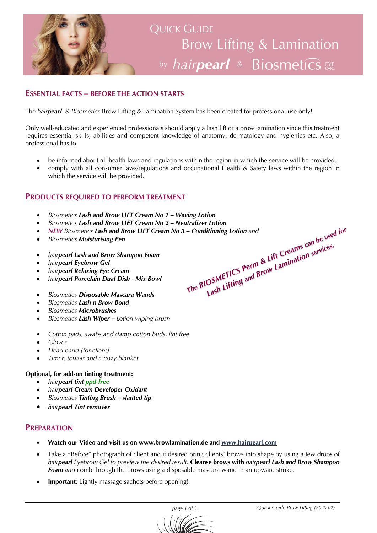

### **ESSENTIAL FACTS – BEFORE THE ACTION STARTS**

The *hairpearl & Biosmetics* Brow Lifting & Lamination System has been created for professional use only!

Only well-educated and experienced professionals should apply a lash lift or a brow lamination since this treatment requires essential skills, abilities and competent knowledge of anatomy, dermatology and hygienics etc. Also, a professional has to

- be informed about all health laws and regulations within the region in which the service will be provided.
- comply with all consumer laws/regulations and occupational Health & Safety laws within the region in which the service will be provided.

### **PRODUCTS REQUIRED TO PERFORM TREATMENT**

- *Biosmetics Lash and Brow LIFT Cream No 1 – Waving Lotion*
- *Biosmetics Lash and Brow LIFT Cream No 2 – Neutralizer Lotion*
- *NEW Biosmetics Lash and Brow LIFT Cream No 3 Conditioning Lotion and*<br>• *Biosmetics Moisturising Pen*<br>• *hairpearl Lash and Brow Shampoo Foam*<br>• *hairpearl Fyebrow Gel*<br>• *hairpearl Relaxing Eye Cream*<br>• *Biosmetics D* - Conditioning Lotion and<br> *The* BIOSMETICS Perm & Lift Creams can be used for<br> *The* BIOSMETICS Perm & Lift Lamination services.
- *Biosmetics Moisturising Pen*
- *hairpearl Lash and Brow Shampoo Foam*
- *hairpearl Eyebrow Gel*
- *hairpearl Relaxing Eye Cream*
- *hairpearl Porcelain Dual Dish - Mix Bowl*
- *Biosmetics Disposable Mascara Wands*
- *Biosmetics Lash n Brow Bond*
- *Biosmetics Microbrushes*
- *Biosmetics Lash Wiper – Lotion wiping brush*
- *Cotton pads, swabs and damp cotton buds, lint free*
- *Gloves*
- *Head band (for client)*
- *Timer, towels and a cozy blanket*

### **Optional, for add-on tinting treatment:**

- *hairpearl tint ppd-free*
- *hairpearl Cream Developer Oxidant*
- *Biosmetics Tinting Brush – slanted tip*
- *hairpearl Tint remover*

### **PREPARATION**

- **Watch our Video and visit us on www.browlamination.de and www.hairpearl.com**
- Take a "Before" photograph of client and if desired bring clients' brows into shape by using a few drops of *hairpearl Eyebrow Gel to preview the desired result.* **Cleanse brows with** *hairpearl Lash and Brow Shampoo Foam and* comb through the brows using a disposable mascara wand in an upward stroke.
- **Important**: Lightly massage sachets before opening!

#### *page 1 of 3 Quick Guide Brow Lifting (2020-02)*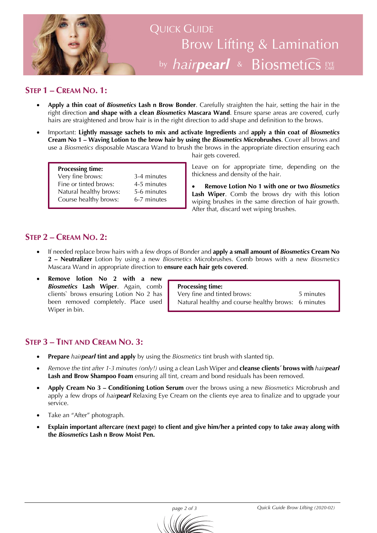

# **STEP 1 – CREAM NO. 1:**

- **Apply a thin coat of** *Biosmetics* **Lash n Brow Bonder**. Carefully straighten the hair, setting the hair in the right direction **and shape with a clean** *Biosmetics* **Mascara Wand**. Ensure sparse areas are covered, curly hairs are straightened and brow hair is in the right direction to add shape and definition to the brows.
- Important: **Lightly massage sachets to mix and activate Ingredients** and **apply a thin coat of** *Biosmetics* **Cream No 1 – Waving Lotion to the brow hair by using the** *Biosmetics* **Microbrushes**. Cover all brows and use a *Biosmetics* disposable Mascara Wand to brush the brows in the appropriate direction ensuring each hair gets covered.

| <b>Processing time:</b> |             |
|-------------------------|-------------|
| Very fine brows:        | 3-4 minutes |
| Fine or tinted brows:   | 4-5 minutes |
| Natural healthy brows:  | 5-6 minutes |
| Course healthy brows:   | 6-7 minutes |

Leave on for appropriate time, depending on the thickness and density of the hair.

• **Remove Lotion No 1 with one or two** *Biosmetics* **Lash Wiper**. Comb the brows dry with this lotion wiping brushes in the same direction of hair growth. After that, discard wet wiping brushes.

## **STEP 2 – CREAM NO. 2:**

- If needed replace brow hairs with a few drops of Bonder and **apply a small amount of** *Biosmetics* **Cream No 2 – Neutralizer** Lotion by using a new *Biosmetics* Microbrushes. Comb brows with a new *Biosmetics* Mascara Wand in appropriate direction to **ensure each hair gets covered**.
- **Remove lotion No 2 with a new**  *Biosmetics* **Lash Wiper**. Again, comb clients` brows ensuring Lotion No 2 has been removed completely. Place used Wiper in bin.

**Processing time:** Very fine and tinted brows: 5 minutes Natural healthy and course healthy brows: 6 minutes

## **STEP 3 – TINT AND CREAM NO. 3:**

- **Prepare** *hairpearl* **tint and apply** by using the *Biosmetics* tint brush with slanted tip.
- *Remove the tint after 1-3 minutes (only!)* using a clean Lash Wiper and **cleanse clients´ brows with** *hairpearl* Lash and Brow Shampoo Foam ensuring all tint, cream and bond residuals has been removed.
- **Apply Cream No 3 – Conditioning Lotion Serum** over the brows using a new *Biosmetics* Microbrush and apply a few drops of *hairpearl* Relaxing Eye Cream on the clients eye area to finalize and to upgrade your service.
- Take an "After" photograph.
- **Explain important aftercare (next page) to client and give him/her a printed copy to take away along with the** *Biosmetics* **Lash n Brow Moist Pen.**